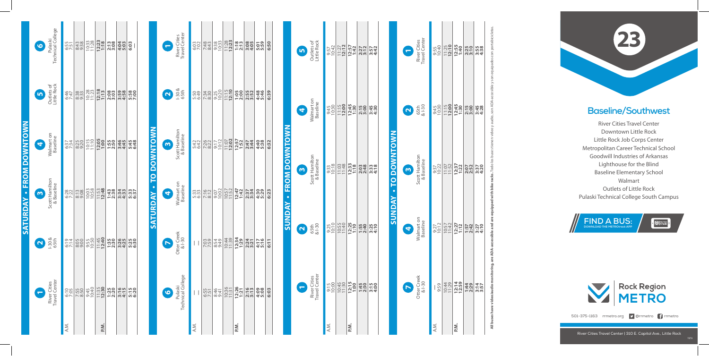## **Baseline/Southwest**

River Cities Travel Center Downtown Little Rock Little Rock Job Corps Center Metropolitan Career Technical School Goodwill Industries of Arkansas Lighthouse for the Blind Baseline Elementary School Walmart Outlets of Little Rock Pulaski Technical College South Campus







501-375-1163 rrmetro.org **9** @rrmetro **f** rrmetro

A.M. **—**

A.M.

**P.M. 12:14**

P.M.

9:59 10:44 11:29 **12:59 1:44 2:29 3:14 3:57**

9:27 10:12 10:57 11:42 **12:27 1:12 1:57 2:42 3:27 4:10**

9:37 10:22 11:07 11:52 **12:37 1:22 2:07 2:52 3:37 4:20**

9<u>:30 - 1:30 - 1:30 - 1:38 - 1:30 - 1:30 - 1:30 - 1:30 - 1:45</u><br>아이나 <mark>1:30 - 1:30</mark> - 1:30 - 1:45<br>아이나 2:30 - 1:30 - 1:45

9:55 10:40 11:25 **12:10 12:55 1:40 2:25 3:10 3:55 4:38**

|                 |                       |                               | A.M.         |      |                    | P.M.                  |              |                                                                                                                                                                                                                                                                                                                                                                                                                                          |                                         |                          |                               | A.M.         |              |                      |                  | P.M.                |                                             |              |      |                        |                          |                               | A.M.          |       | P.M                                    |              |                                                                                                                                                                                                                                                                                                                                                |                            |                          |
|-----------------|-----------------------|-------------------------------|--------------|------|--------------------|-----------------------|--------------|------------------------------------------------------------------------------------------------------------------------------------------------------------------------------------------------------------------------------------------------------------------------------------------------------------------------------------------------------------------------------------------------------------------------------------------|-----------------------------------------|--------------------------|-------------------------------|--------------|--------------|----------------------|------------------|---------------------|---------------------------------------------|--------------|------|------------------------|--------------------------|-------------------------------|---------------|-------|----------------------------------------|--------------|------------------------------------------------------------------------------------------------------------------------------------------------------------------------------------------------------------------------------------------------------------------------------------------------------------------------------------------------|----------------------------|--------------------------|
|                 | $\blacksquare$        | River Cities<br>Travel Center | 6:10         | 7:55 | 9:45<br>10:40      | 11:35                 | 1:25         | $\begin{array}{ c c c }\hline c & c & c\\ \hline c & c & c\\ \hline c & c & c\\ \hline c & d & d\\ \hline c & d & d\\ \hline \end{array}$                                                                                                                                                                                                                                                                                                |                                         | $\bullet$                | Pulaski<br>Technical College  |              | 6:55<br>7:51 | 8:46<br>9:41         | 10:36            | 12:26               | 2:16                                        | 4:09         | 6:03 |                        | $\overline{\phantom{0}}$ | River Cities<br>Travel Center | 9:15<br>10:00 | 10:45 | 12:15                                  | 1:45<br>2:30 | 3:15<br>4:00                                                                                                                                                                                                                                                                                                                                   |                            | $\blacktriangleright$    |
|                 | $\mathbf{N}$          | $1 - 30 & 8$<br>65th          | 6:19         | 8:05 | 9:55<br>10:50      | 11:45                 | 1:35         | $\begin{array}{ c c c }\hline \text{X} & \text{X} & \text{X} & \text{X} \\ \hline \text{X} & \text{X} & \text{X} & \text{X} \\ \hline \text{X} & \text{X} & \text{X} & \text{X} \\ \hline \text{X} & \text{X} & \text{X} & \text{X} \\ \hline \text{X} & \text{X} & \text{X} & \text{X} \\ \hline \text{X} & \text{X} & \text{X} & \text{X} \\ \hline \text{X} & \text{X} & \text{X} & \text{X} \\ \hline \text{X} & \text{X} & \text{X$ |                                         | $\blacktriangleright$    | Otter Creek<br>& I-30         |              | 7:59         | 8:54<br>9:49         | 10:44            | 12:34               | 2:24                                        | 4:17         | 6:11 |                        | $\overline{\mathbf{N}}$  | $65th$<br>$81-30$             | 9:25<br>10:10 | 10:55 | 12:25                                  |              | $\begin{array}{ c c }\n 1.58 \\  1.54 \\  1.55 \\  1.56 \\  1.57 \\  1.58 \\  1.50 \\  1.50 \\  1.50 \\  1.50 \\  1.50 \\  1.50 \\  1.50 \\  1.50 \\  1.50 \\  1.50 \\  1.50 \\  1.50 \\  1.50 \\  1.50 \\  1.50 \\  1.50 \\  1.50 \\  1.50 \\  1.50 \\  1.50 \\  1.50 \\  1.50 \\  1.50 \\  1.50 \\  1.50 \\  1.50 \\  1.50 \\  1.50 \\  1.5$ |                            | 4                        |
| SATURDAY        | $\boldsymbol{\omega}$ | Scott Hamilton<br>& Baseline  | 6:28         | 8:13 | 10:03              | 11:53<br>12:48        | 1:43         | $\left  \begin{array}{c} 0.4 \\ 0.07 \\ 0.07 \\ 0.07 \\ 0.07 \\ 0.07 \\ 0.07 \\ 0.07 \\ 0.07 \\ 0.07 \\ 0.07 \\ 0.07 \\ 0.07 \\ 0.07 \\ 0.07 \\ 0.07 \\ 0.07 \\ 0.07 \\ 0.07 \\ 0.07 \\ 0.07 \\ 0.07 \\ 0.07 \\ 0.07 \\ 0.07 \\ 0.07 \\ 0.07 \\ 0.07 \\ 0.07 \\ 0.07 \\ 0.07 \\ 0.07 \\ 0.07 \\ 0.07 \\ 0.07 \\ $                                                                                                                        | $\ddot{\phantom{0}}$<br><b>SATURDAY</b> | 4                        | Walmart on<br>Baseline        | 5:3          | 7:16         | $\frac{9.07}{10.02}$ | 10:57            | 12:47<br>1:42       | 2:37                                        | 4:30         | 6:23 | <b><i>SUNDAY</i></b>   | m                        |                               |               |       |                                        |              |                                                                                                                                                                                                                                                                                                                                                | $\bullet$<br><b>SUNDAY</b> | $\boldsymbol{\omega}$    |
| - FROM DOWNTOWN | $\blacktriangleleft$  | Walmart on<br>Baseline        | 6:37         | 8:25 | $10:15$<br>$11:10$ | 12:05                 | 1:55<br>2:50 | $\begin{array}{ c c }\n\hline\n\varphi & \varphi & \varphi & \varphi \\ \hline\n\varphi & \varphi & \varphi & \varphi \\ \hline\n\varphi & \varphi & \varphi & \varphi \\ \hline\n\varphi & \varphi & \varphi & \varphi\n\end{array}$                                                                                                                                                                                                    | <b>TO DOWNTOWN</b>                      | $\mathbf{\omega}$        | Scott Hamilton<br>& Baseline  | 5:42<br>6:42 | 7:26         | $9:17$<br>$10:12$    | $11:07$<br>12:02 |                     | $\frac{12:57}{1:52}$<br>$\frac{2:57}{2:47}$ | 4:40         | 6:32 | <b>· FROM DOWNTOWN</b> |                          | Scott Hamilton<br>& Baseline  | 9:33<br>10:18 | 11:03 | $12:33$<br>$1:18$                      |              | 0380 minutes                                                                                                                                                                                                                                                                                                                                   | TO DOWNTOWN                |                          |
|                 | S                     | Outlets of<br>Little Rock     | 6:45<br>7:47 | 8:38 |                    | $\frac{10:28}{11:23}$ | 2:08         | $\begin{vmatrix} 5 & 8 & 8 & 8 \\ 5 & 5 & 8 & 8 \\ 1 & 5 & 8 & 8 \\ 1 & 5 & 8 & 8 \\ 1 & 1 & 1 & 1 \end{vmatrix}$                                                                                                                                                                                                                                                                                                                        |                                         | $\mathbf{\Omega}$        | $-308$<br>65th                | 5:50<br>6:49 | 7:34<br>8:30 | 9:25<br>10:20        | $11:15$<br>12:10 |                     | <b>198</b><br>1989<br>1989<br>1989          | 4:48<br>5:46 | 6:39 |                        | 4                        | Walmart on<br>Baseline        | 9:45<br>10:30 | 11:15 | 12:45                                  |              | $\frac{150}{230}$<br>$\frac{430}{24}$                                                                                                                                                                                                                                                                                                          |                            | $\mathbf{N}$             |
|                 | $\bullet$             | Pulaski<br>Technical College  | 6:55         | 8:43 |                    | $\frac{10:33}{11:28}$ | 2:13         | 4:04<br>6:03                                                                                                                                                                                                                                                                                                                                                                                                                             |                                         | $\overline{\phantom{0}}$ | River Cities<br>Travel Center | 6:03         | 7:48<br>8:43 | 9:38                 | $11:28$<br>12:23 | $\frac{1:18}{2:13}$ | 3:08                                        | 5:01<br>5:59 | 6:50 |                        | 5                        | Outlets of<br>Little Rock     | 9:57<br>10:42 |       | $\frac{11:27}{12:12}$<br>12:12<br>1:42 |              | $\begin{array}{ c c }\n 2.72 \\  2.72 \\  2.57 \\  2.52 \\  2.52 \\  2.52 \\  2.52 \\  2.52 \\  2.52 \\  2.52 \\  2.52 \\  2.52 \\  2.53 \\  2.54 \\  2.54 \\  2.54 \\  2.54 \\  2.54 \\  2.54 \\  2.54 \\  2.54 \\  2.54 \\  2.54 \\  2.54 \\  2.54 \\  2.54 \\  2.55 \\  2.54 \\  2.55 \\  2.55 \\  2.55 \\  2.55 \\  2.55 \\  2.55 \\  2.5$ |                            | $\overline{\phantom{0}}$ |